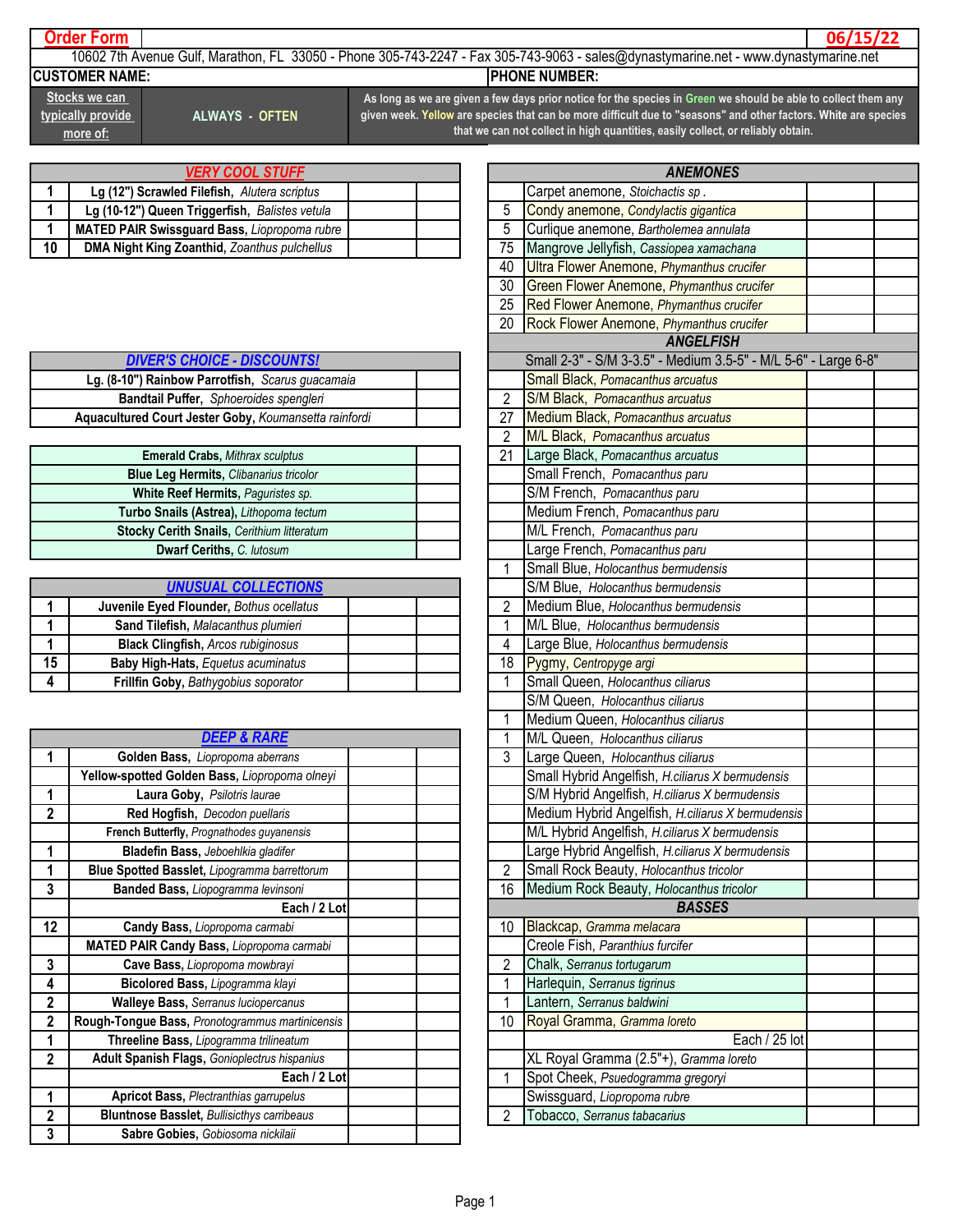## **Order Form**

**06/15/22**

10602 7th Avenue Gulf, Marathon, FL 33050 - Phone 305-743-2247 - Fax 305-743-9063 - sales@dynastymarine.net - www.dynastymarine.net **CUSTOMER NAME:** PHONE NUMBER:

**Stocks we can typically provide more of:**

**ALWAYS - OFTEN**

**As long as we are given a few days prior notice for the species in Green we should be able to collect them any given week. Yellow are species that can be more difficult due to "seasons" and other factors. White are species that we can not collect in high quantities, easily collect, or reliably obtain.**

| <b>VERY COOL STUFF</b> |                                                     |  |    |
|------------------------|-----------------------------------------------------|--|----|
|                        | Lg (12") Scrawled Filefish, Alutera scriptus        |  |    |
|                        | Lg (10-12") Queen Triggerfish, Balistes vetula      |  |    |
|                        | <b>MATED PAIR Swissguard Bass, Liopropoma rubre</b> |  | 5  |
| 10                     | <b>DMA Night King Zoanthid, Zoanthus pulchellus</b> |  | 75 |

| <b>DIVER'S CHOICE - DISCOUNTS!</b>                    |    | Small 2-3" - S/M 3-3.5" - Medium 3.5                                                                                                                                                                                                 |
|-------------------------------------------------------|----|--------------------------------------------------------------------------------------------------------------------------------------------------------------------------------------------------------------------------------------|
| Lg. (8-10") Rainbow Parrotfish, Scarus guacamaia      |    | <b>Small Black, Pomacanthus arcuatus</b>                                                                                                                                                                                             |
| <b>Bandtail Puffer, Sphoeroides spengleri</b>         |    | <b>S/M Black, Pomacanthus arcuatus</b>                                                                                                                                                                                               |
| Aquacultured Court Jester Goby, Koumansetta rainfordi | 27 | <b>Medium Black, Pomacanthus arcuatus</b>                                                                                                                                                                                            |
|                                                       |    | $\blacksquare$ . The contract of the contract of the contract of the contract of the contract of the contract of the contract of the contract of the contract of the contract of the contract of the contract of the contract of the |

| <b>Emerald Crabs, Mithrax sculptus</b>            |  |
|---------------------------------------------------|--|
| <b>Blue Leg Hermits, Clibanarius tricolor</b>     |  |
| <b>White Reef Hermits, Paguristes sp.</b>         |  |
| Turbo Snails (Astrea), Lithopoma tectum           |  |
| <b>Stocky Cerith Snails, Cerithium litteratum</b> |  |
| Dwarf Ceriths, C. lutosum                         |  |

| <b>UNUSUAL COLLECTIONS</b>                |    |
|-------------------------------------------|----|
| Juvenile Eyed Flounder, Bothus ocellatus  |    |
| Sand Tilefish, Malacanthus plumieri       |    |
| <b>Black Clingfish, Arcos rubiginosus</b> |    |
| <b>Baby High-Hats, Equetus acuminatus</b> | 18 |
| Frillfin Goby, Bathygobius soporator      |    |

|                | <b>DEEP &amp; RARE</b>                            |  |
|----------------|---------------------------------------------------|--|
| 1              | Golden Bass, Liopropoma aberrans                  |  |
|                | Yellow-spotted Golden Bass, Liopropoma olneyi     |  |
| 1              | Laura Goby, Psilotris laurae                      |  |
| $\mathbf{2}$   | Red Hogfish, Decodon puellaris                    |  |
|                | French Butterfly, Prognathodes guyanensis         |  |
| 1              | Bladefin Bass, Jeboehlkia gladifer                |  |
|                | Blue Spotted Basslet, Lipogramma barrettorum      |  |
| 3              | Banded Bass, Liopogramma levinsoni                |  |
|                | Each / 2 Lot                                      |  |
| 12             | Candy Bass, Liopropoma carmabi                    |  |
|                | <b>MATED PAIR Candy Bass, Liopropoma carmabi</b>  |  |
| 3              | Cave Bass, Liopropoma mowbrayi                    |  |
| 4              | Bicolored Bass, Lipogramma klayi                  |  |
| $\overline{2}$ | <b>Walleye Bass, Serranus luciopercanus</b>       |  |
| 2              | Rough-Tongue Bass, Pronotogrammus martinicensis   |  |
| 1              | Threeline Bass, Lipogramma trilineatum            |  |
| $\overline{2}$ | Adult Spanish Flags, Gonioplectrus hispanius      |  |
|                | Each / 2 Lot                                      |  |
| 1              | <b>Apricot Bass, Plectranthias garrupelus</b>     |  |
| $\overline{2}$ | <b>Bluntnose Basslet, Bullisicthys carribeaus</b> |  |
| 3              | Sabre Gobies, Gobiosoma nickilaii                 |  |

|                         | <b>ANEMONES</b>                                                 |  |
|-------------------------|-----------------------------------------------------------------|--|
|                         | Carpet anemone, Stoichactis sp.                                 |  |
| 5                       | Condy anemone, Condylactis gigantica                            |  |
| 5                       | Curlique anemone, Bartholemea annulata                          |  |
| 75                      | Mangrove Jellyfish, Cassiopea xamachana                         |  |
| 40                      | Ultra Flower Anemone, Phymanthus crucifer                       |  |
| 30                      | Green Flower Anemone, Phymanthus crucifer                       |  |
| 25                      | Red Flower Anemone, Phymanthus crucifer                         |  |
| 20                      | Rock Flower Anemone, Phymanthus crucifer                        |  |
|                         | <b>ANGELFISH</b>                                                |  |
|                         | Small 2-3" - S/M 3-3.5" - Medium 3.5-5" - M/L 5-6" - Large 6-8" |  |
|                         | Small Black, Pomacanthus arcuatus                               |  |
| 2                       | S/M Black, Pomacanthus arcuatus                                 |  |
| 27                      | Medium Black, Pomacanthus arcuatus                              |  |
| $\overline{c}$          | M/L Black, Pomacanthus arcuatus                                 |  |
| 21                      | Large Black, Pomacanthus arcuatus                               |  |
|                         | Small French, Pomacanthus paru                                  |  |
|                         | S/M French, Pomacanthus paru                                    |  |
|                         | Medium French, Pomacanthus paru                                 |  |
|                         | M/L French, Pomacanthus paru                                    |  |
|                         | Large French, Pomacanthus paru                                  |  |
| $\overline{1}$          | Small Blue, Holocanthus bermudensis                             |  |
|                         | S/M Blue, Holocanthus bermudensis                               |  |
| $\overline{2}$          | Medium Blue, Holocanthus bermudensis                            |  |
| $\overline{1}$          | M/L Blue, Holocanthus bermudensis                               |  |
| 4                       | Large Blue, Holocanthus bermudensis                             |  |
| 18                      | Pygmy, Centropyge argi                                          |  |
| $\overline{1}$          | Small Queen, Holocanthus ciliarus                               |  |
|                         | S/M Queen, Holocanthus ciliarus                                 |  |
| 1                       | Medium Queen, Holocanthus ciliarus                              |  |
| 1                       | M/L Queen, Holocanthus ciliarus                                 |  |
| 3                       | Large Queen, Holocanthus ciliarus                               |  |
|                         | Small Hybrid Angelfish, H.ciliarus X bermudensis                |  |
|                         | S/M Hybrid Angelfish, H.ciliarus X bermudensis                  |  |
|                         | Medium Hybrid Angelfish, H.ciliarus X bermudensis               |  |
|                         | M/L Hybrid Angelfish, H.ciliarus X bermudensis                  |  |
|                         | Large Hybrid Angelfish, H.ciliarus X bermudensis                |  |
| $\overline{\mathbf{c}}$ | Small Rock Beauty, Holocanthus tricolor                         |  |
| 16                      | Medium Rock Beauty, Holocanthus tricolor                        |  |
|                         | <b>BASSES</b>                                                   |  |
| 10                      | Blackcap, Gramma melacara                                       |  |
|                         | Creole Fish, Paranthius furcifer                                |  |
| $\overline{\mathbf{c}}$ | Chalk, Serranus tortugarum                                      |  |
| 1<br>1                  | Harlequin, Serranus tigrinus                                    |  |
|                         | Lantern, Serranus baldwini                                      |  |
| 10                      | Royal Gramma, Gramma loreto                                     |  |
|                         | Each / 25 lot                                                   |  |
|                         | XL Royal Gramma (2.5"+), Gramma loreto                          |  |
| 1                       | Spot Cheek, Psuedogramma gregoryi                               |  |
| $\overline{c}$          | Swissguard, Liopropoma rubre                                    |  |
|                         | Tobacco, Serranus tabacarius                                    |  |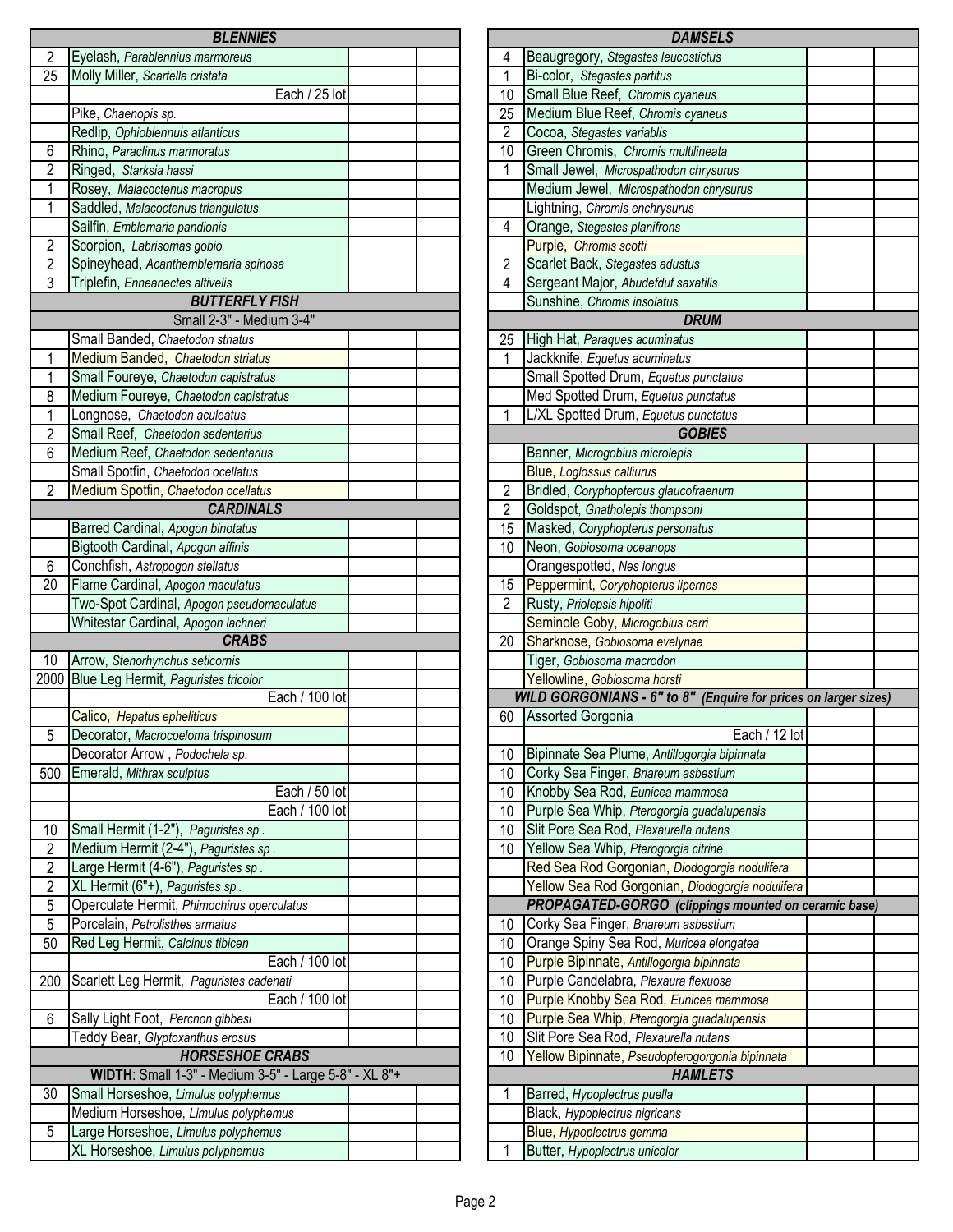|                | <b>BLENNIES</b>                                       |                 |
|----------------|-------------------------------------------------------|-----------------|
| 2              | Eyelash, Parablennius marmoreus                       | 4               |
| 25             | Molly Miller, Scartella cristata                      | $\overline{1}$  |
|                | Each / 25 lot                                         | $\overline{10}$ |
|                | Pike, Chaenopis sp.                                   | $\overline{25}$ |
|                | Redlip, Ophioblennuis atlanticus                      | $\overline{2}$  |
| 6              | Rhino, Paraclinus marmoratus                          | 10              |
| $\overline{2}$ | Ringed, Starksia hassi                                | $\mathbf{1}$    |
| 1              | Rosey, Malacoctenus macropus                          |                 |
| $\overline{1}$ | Saddled, Malacoctenus triangulatus                    |                 |
|                | Sailfin, Emblemaria pandionis                         | 4               |
| $\overline{2}$ | Scorpion, Labrisomas gobio                            |                 |
| $\overline{2}$ | Spineyhead, Acanthemblemaria spinosa                  | $\overline{2}$  |
| $\overline{3}$ | Triplefin, Enneanectes altivelis                      | $\overline{4}$  |
|                | <b>BUTTERFLY FISH</b>                                 |                 |
|                | Small 2-3" - Medium 3-4"                              |                 |
|                | Small Banded, Chaetodon striatus                      | 25              |
| 1              | Medium Banded, Chaetodon striatus                     | 1               |
| 1              | Small Foureye, Chaetodon capistratus                  |                 |
| 8              | Medium Foureye, Chaetodon capistratus                 |                 |
| 1              | Longnose, Chaetodon aculeatus                         | $\mathbf{1}$    |
| $\overline{2}$ | Small Reef, Chaetodon sedentarius                     |                 |
| 6              | Medium Reef, Chaetodon sedentarius                    |                 |
|                | Small Spotfin, Chaetodon ocellatus                    |                 |
| 2              | Medium Spotfin, Chaetodon ocellatus                   |                 |
|                | <b>CARDINALS</b>                                      | $\frac{2}{2}$   |
|                | Barred Cardinal, Apogon binotatus                     | $\overline{15}$ |
|                | Bigtooth Cardinal, Apogon affinis                     | 10              |
| 6              | Conchfish, Astropogon stellatus                       |                 |
| 20             | Flame Cardinal, Apogon maculatus                      | 15              |
|                | Two-Spot Cardinal, Apogon pseudomaculatus             | $\overline{c}$  |
|                | Whitestar Cardinal, Apogon lachneri                   |                 |
|                | <b>CRABS</b>                                          | $\overline{20}$ |
| 10             | Arrow, Stenorhynchus seticornis                       |                 |
|                | 2000 Blue Leg Hermit, Paguristes tricolor             |                 |
|                | Each / 100 lot                                        |                 |
|                | Calico, Hepatus epheliticus                           | 60              |
| 5              | Decorator, Macrocoeloma trispinosum                   |                 |
|                | Decorator Arrow, Podochela sp.                        | 10              |
| 500            | Emerald, Mithrax sculptus                             | 10              |
|                | Each / 50 lot                                         | 10              |
|                | Each / 100 lot                                        | 10              |
| 10             | Small Hermit (1-2"), Paguristes sp.                   | 10              |
| $\overline{2}$ | Medium Hermit (2-4"), Paguristes sp.                  | 10              |
| $\overline{2}$ | Large Hermit (4-6"), Paguristes sp.                   |                 |
| $\overline{2}$ | XL Hermit (6"+), Paguristes sp.                       |                 |
| 5              | Operculate Hermit, Phimochirus operculatus            |                 |
| $\overline{5}$ | Porcelain, Petrolisthes armatus                       | 10              |
| 50             | Red Leg Hermit, Calcinus tibicen                      | 10              |
|                | Each / 100 lot                                        | 10              |
| 200            | Scarlett Leg Hermit, Paguristes cadenati              | 10              |
|                | Each / 100 lot                                        | 10              |
| 6              | Sally Light Foot, Percnon gibbesi                     | 10              |
|                | Teddy Bear, Glyptoxanthus erosus                      | 10              |
|                | <b>HORSESHOE CRABS</b>                                | $\overline{10}$ |
|                | WIDTH: Small 1-3" - Medium 3-5" - Large 5-8" - XL 8"+ |                 |
| 30             | Small Horseshoe, Limulus polyphemus                   | 1               |
|                | Medium Horseshoe, Limulus polyphemus                  |                 |
| 5              | Large Horseshoe, Limulus polyphemus                   |                 |
|                | XL Horseshoe, Limulus polyphemus                      | $\mathbf{1}$    |
|                |                                                       |                 |

|                | <b>DAMSELS</b>                                                  |  |
|----------------|-----------------------------------------------------------------|--|
| 4              | Beaugregory, Stegastes leucostictus                             |  |
| 1              | Bi-color, Stegastes partitus                                    |  |
| 10             | Small Blue Reef, Chromis cyaneus                                |  |
| 25             | Medium Blue Reef, Chromis cyaneus                               |  |
| $\overline{2}$ | Cocoa, Stegastes variablis                                      |  |
| 10             | Green Chromis, Chromis multilineata                             |  |
| 1              | Small Jewel, Microspathodon chrysurus                           |  |
|                | Medium Jewel, Microspathodon chrysurus                          |  |
|                | Lightning, Chromis enchrysurus                                  |  |
| 4              | Orange, Stegastes planifrons                                    |  |
|                | Purple, Chromis scotti                                          |  |
| $\overline{c}$ | Scarlet Back, Stegastes adustus                                 |  |
| $\overline{4}$ | Sergeant Major, Abudefduf saxatilis                             |  |
|                | Sunshine, Chromis insolatus                                     |  |
|                | <b>DRUM</b>                                                     |  |
|                |                                                                 |  |
| 25<br>1        | High Hat, Paraques acuminatus                                   |  |
|                | Jackknife, Equetus acuminatus                                   |  |
|                | Small Spotted Drum, Equetus punctatus                           |  |
|                | Med Spotted Drum, Equetus punctatus                             |  |
| 1              | L/XL Spotted Drum, Equetus punctatus                            |  |
|                | <b>GOBIES</b>                                                   |  |
|                | Banner, Microgobius microlepis                                  |  |
|                | <b>Blue, Loglossus calliurus</b>                                |  |
| $\overline{c}$ | Bridled, Coryphopterous glaucofraenum                           |  |
| $\overline{2}$ | Goldspot, Gnatholepis thompsoni                                 |  |
| 15             | Masked, Coryphopterus personatus                                |  |
| 10             | Neon, Gobiosoma oceanops                                        |  |
|                | Orangespotted, Nes longus                                       |  |
| 15             | Peppermint, Coryphopterus lipernes                              |  |
| $\overline{2}$ | Rusty, Priolepsis hipoliti                                      |  |
|                | Seminole Goby, Microgobius carri                                |  |
| 20             | Sharknose, Gobiosoma evelynae                                   |  |
|                | Tiger, Gobiosoma macrodon                                       |  |
|                | Yellowline, Gobiosoma horsti                                    |  |
|                | WILD GORGONIANS - 6" to 8" (Enquire for prices on larger sizes) |  |
| 60             | Assorted Gorgonia                                               |  |
|                | Each / 12 lot                                                   |  |
| 10             | Bipinnate Sea Plume, Antillogorgia bipinnata                    |  |
| 10             | Corky Sea Finger, Briareum asbestium                            |  |
| 10             | Knobby Sea Rod, Eunicea mammosa                                 |  |
| 10             | Purple Sea Whip, Pterogorgia guadalupensis                      |  |
| 10             | Slit Pore Sea Rod, Plexaurella nutans                           |  |
| 10             | Yellow Sea Whip, Pterogorgia citrine                            |  |
|                | Red Sea Rod Gorgonian, Diodogorgia nodulifera                   |  |
|                | Yellow Sea Rod Gorgonian, Diodogorgia nodulifera                |  |
|                | PROPAGATED-GORGO (clippings mounted on ceramic base)            |  |
| 10             | Corky Sea Finger, Briareum asbestium                            |  |
| 10             | Orange Spiny Sea Rod, Muricea elongatea                         |  |
| 10             | Purple Bipinnate, Antillogorgia bipinnata                       |  |
| 10             | Purple Candelabra, Plexaura flexuosa                            |  |
| 10             | Purple Knobby Sea Rod, Eunicea mammosa                          |  |
| 10             | Purple Sea Whip, Pterogorgia guadalupensis                      |  |
| 10             | Slit Pore Sea Rod, Plexaurella nutans                           |  |
| 10             |                                                                 |  |
|                | Yellow Bipinnate, Pseudopterogorgonia bipinnata                 |  |
|                | <b>HAMLETS</b>                                                  |  |
| 1              | Barred, Hypoplectrus puella                                     |  |
|                | Black, Hypoplectrus nigricans                                   |  |
|                | Blue, Hypoplectrus gemma                                        |  |
| 1              | Butter, Hypoplectrus unicolor                                   |  |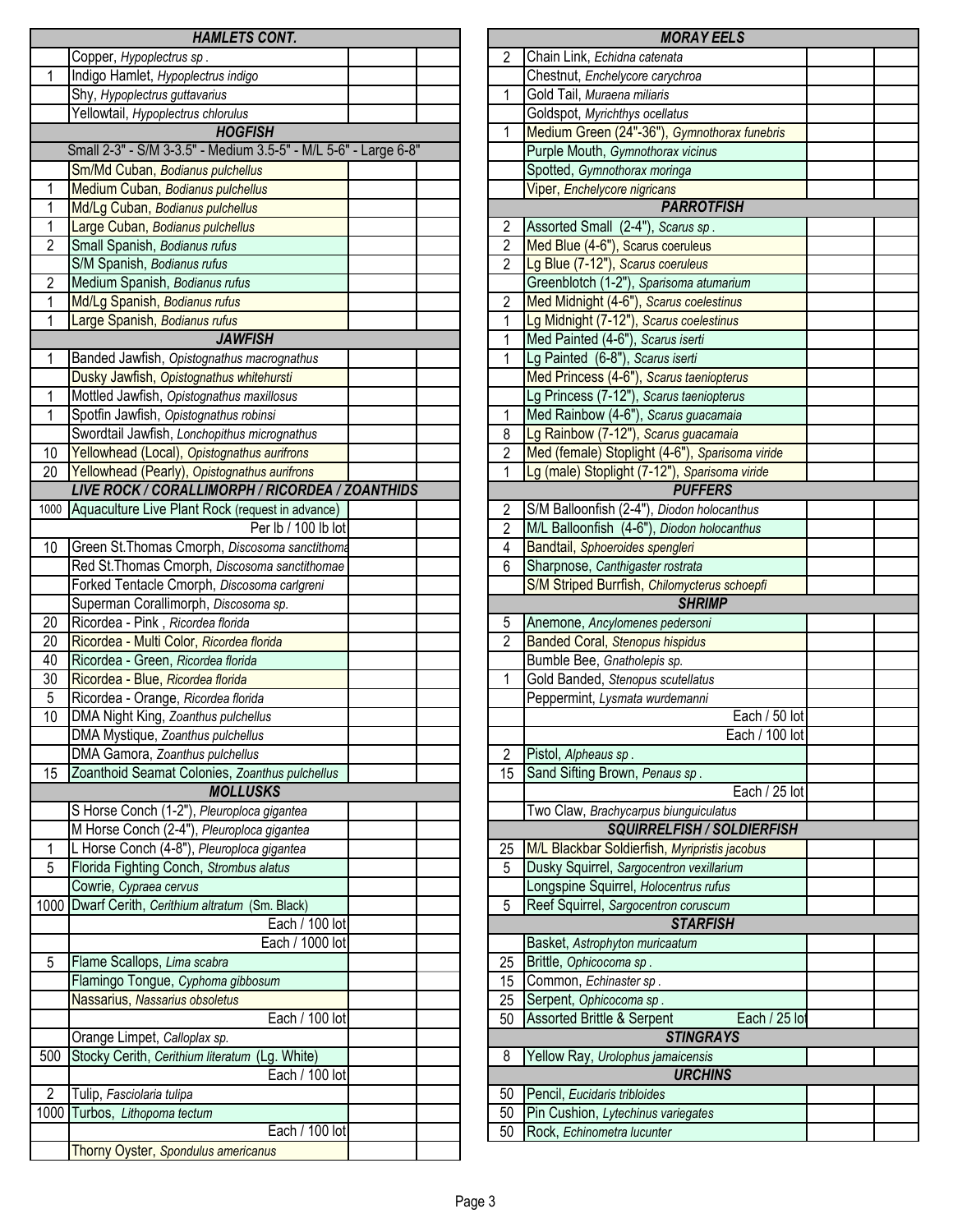|                | <b>HAMLETS CONT.</b>                                                          |                | <b>MORAY EELS</b>                                                                  |
|----------------|-------------------------------------------------------------------------------|----------------|------------------------------------------------------------------------------------|
|                | Copper, Hypoplectrus sp.                                                      | 2              | Chain Link, Echidna catenata                                                       |
| 1              | Indigo Hamlet, Hypoplectrus indigo                                            |                | Chestnut, Enchelycore carychroa                                                    |
|                | Shy, Hypoplectrus guttavarius                                                 | 1              | Gold Tail, Muraena miliaris                                                        |
|                | Yellowtail, Hypoplectrus chlorulus                                            |                | Goldspot, Myrichthys ocellatus                                                     |
|                | <b>HOGFISH</b>                                                                | 1              | Medium Green (24"-36"), Gymnothorax funebris                                       |
|                | Small 2-3" - S/M 3-3.5" - Medium 3.5-5" - M/L 5-6" - Large 6-8"               |                | Purple Mouth, Gymnothorax vicinus                                                  |
|                | Sm/Md Cuban, Bodianus pulchellus                                              |                | Spotted, Gymnothorax moringa                                                       |
| 1              | Medium Cuban, Bodianus pulchellus                                             |                | Viper, Enchelycore nigricans                                                       |
| 1              | Md/Lg Cuban, Bodianus pulchellus                                              |                | <b>PARROTFISH</b>                                                                  |
| 1              | Large Cuban, Bodianus pulchellus                                              | 2              | Assorted Small (2-4"), Scarus sp.                                                  |
| $\overline{2}$ | Small Spanish, Bodianus rufus                                                 | $\overline{2}$ | Med Blue (4-6"), Scarus coeruleus                                                  |
|                | S/M Spanish, Bodianus rufus                                                   | $\overline{2}$ | Lg Blue (7-12"), Scarus coeruleus                                                  |
| $\overline{c}$ | Medium Spanish, Bodianus rufus                                                |                | Greenblotch (1-2"), Sparisoma atumarium                                            |
| 1              | Md/Lg Spanish, Bodianus rufus                                                 | $\overline{2}$ | Med Midnight (4-6"), Scarus coelestinus                                            |
| 1              | Large Spanish, Bodianus rufus                                                 | 1              | Lg Midnight (7-12"), Scarus coelestinus                                            |
|                | <b>JAWFISH</b>                                                                | 1              | Med Painted (4-6"), Scarus iserti                                                  |
| 1              | Banded Jawfish, Opistognathus macrognathus                                    | 1              | Lg Painted (6-8"), Scarus iserti                                                   |
|                | Dusky Jawfish, Opistognathus whitehursti                                      |                | Med Princess (4-6"), Scarus taeniopterus                                           |
| $\mathbf 1$    | Mottled Jawfish, Opistognathus maxillosus                                     |                | Lg Princess (7-12"), Scarus taeniopterus                                           |
| 1              | Spotfin Jawfish, Opistognathus robinsi                                        | $\mathbf{1}$   | Med Rainbow (4-6"), Scarus guacamaia                                               |
|                | Swordtail Jawfish, Lonchopithus micrognathus                                  | 8              | Lg Rainbow (7-12"), Scarus guacamaia                                               |
| 10             | Yellowhead (Local), Opistognathus aurifrons                                   | $\overline{2}$ | Med (female) Stoplight (4-6"), Sparisoma viride                                    |
| 20             | Yellowhead (Pearly), Opistognathus aurifrons                                  | $\mathbf{1}$   | Lg (male) Stoplight (7-12"), Sparisoma viride                                      |
|                | LIVE ROCK / CORALLIMORPH / RICORDEA / ZOANTHIDS                               |                | <b>PUFFERS</b>                                                                     |
| 1000           | Aquaculture Live Plant Rock (request in advance)                              | 2              | S/M Balloonfish (2-4"), Diodon holocanthus                                         |
|                | Per lb / 100 lb lot                                                           | $\overline{2}$ | M/L Balloonfish (4-6"), Diodon holocanthus                                         |
| 10             | Green St. Thomas Cmorph, Discosoma sanctithoma                                | 4              | Bandtail, Sphoeroides spengleri                                                    |
|                | Red St. Thomas Cmorph, Discosoma sanctithomae                                 | 6              | Sharpnose, Canthigaster rostrata                                                   |
|                | Forked Tentacle Cmorph, Discosoma carlgreni                                   |                | S/M Striped Burrfish, Chilomycterus schoepfi                                       |
|                |                                                                               |                |                                                                                    |
|                |                                                                               |                | <b>SHRIMP</b>                                                                      |
|                | Superman Corallimorph, Discosoma sp.                                          |                |                                                                                    |
| 20<br>20       | Ricordea - Pink, Ricordea florida<br>Ricordea - Multi Color, Ricordea florida | 5<br>2         | Anemone, Ancylomenes pedersoni                                                     |
| 40             | Ricordea - Green, Ricordea florida                                            |                | <b>Banded Coral, Stenopus hispidus</b><br>Bumble Bee, Gnatholepis sp.              |
| 30             | Ricordea - Blue, Ricordea florida                                             | 1              | Gold Banded, Stenopus scutellatus                                                  |
| 5              | Ricordea - Orange, Ricordea florida                                           |                | Peppermint, Lysmata wurdemanni                                                     |
| 10             | DMA Night King, Zoanthus pulchellus                                           |                |                                                                                    |
|                | DMA Mystique, Zoanthus pulchellus                                             |                |                                                                                    |
|                | DMA Gamora, Zoanthus pulchellus                                               | $\overline{2}$ | Each / 50 k<br>Each / 100 lo<br>Pistol, Alpheaus sp.                               |
| 15             | Zoanthoid Seamat Colonies, Zoanthus pulchellus                                | 15             | Sand Sifting Brown, Penaus sp.                                                     |
|                | <b>MOLLUSKS</b>                                                               |                |                                                                                    |
|                | S Horse Conch (1-2"), Pleuroploca gigantea                                    |                | Two Claw, Brachycarpus biunguiculatus                                              |
|                | M Horse Conch (2-4"), Pleuroploca gigantea                                    |                |                                                                                    |
| 1              | L Horse Conch (4-8"), Pleuroploca gigantea                                    | 25             | M/L Blackbar Soldierfish, Myripristis jacobus                                      |
| 5              | Florida Fighting Conch, Strombus alatus                                       | 5              | Dusky Squirrel, Sargocentron vexillarium                                           |
|                | Cowrie, Cypraea cervus                                                        |                | Each / 25 k<br>SQUIRRELFISH / SOLDIERFISH<br>Longspine Squirrel, Holocentrus rufus |
| 1000           | Dwarf Cerith, Cerithium altratum (Sm. Black)                                  | 5              | Reef Squirrel, Sargocentron coruscum                                               |
|                | Each / 100 lot                                                                |                | <b>STARFISH</b>                                                                    |
|                | Each / 1000 lot                                                               |                | Basket, Astrophyton muricaatum                                                     |
| 5              | Flame Scallops, Lima scabra                                                   | 25             | Brittle, Ophicocoma sp.                                                            |
|                | Flamingo Tongue, Cyphoma gibbosum                                             | 15             | Common, Echinaster sp.                                                             |
|                | Nassarius, Nassarius obsoletus                                                | 25             | Serpent, Ophicocoma sp.                                                            |
|                | Each / 100 lot                                                                | 50             | <b>Assorted Brittle &amp; Serpent</b>                                              |
|                | Orange Limpet, Calloplax sp.                                                  |                | <b>STINGRAYS</b>                                                                   |
| 500            | Stocky Cerith, Cerithium literatum<br>(Lg. White)                             | 8              | Yellow Ray, Urolophus jamaicensis                                                  |
|                | Each / 100 lot                                                                |                | <b>URCHINS</b>                                                                     |
| $\overline{2}$ | Tulip, Fasciolaria tulipa                                                     | 50             | Pencil, Eucidaris tribloides                                                       |
| 1000           | Turbos, Lithopoma tectum                                                      | 50             | Each / 25 I<br>Pin Cushion, Lytechinus variegates                                  |
|                | Each / 100 lot                                                                | 50             | Rock, Echinometra lucunter                                                         |

|                | <b>MORAY EELS</b>                                                            |  |
|----------------|------------------------------------------------------------------------------|--|
| 2              | Chain Link, Echidna catenata                                                 |  |
|                | Chestnut, Enchelycore carychroa                                              |  |
| 1              | Gold Tail, Muraena miliaris                                                  |  |
|                | Goldspot, Myrichthys ocellatus                                               |  |
| $\overline{1}$ | Medium Green (24"-36"), Gymnothorax funebris                                 |  |
|                | Purple Mouth, Gymnothorax vicinus                                            |  |
|                | Spotted, Gymnothorax moringa                                                 |  |
|                | Viper, Enchelycore nigricans                                                 |  |
|                | <b>PARROTFISH</b>                                                            |  |
| 2              | Assorted Small (2-4"), Scarus sp.                                            |  |
| $\overline{2}$ | Med Blue (4-6"), Scarus coeruleus                                            |  |
| $\overline{2}$ | Lg Blue (7-12"), Scarus coeruleus                                            |  |
|                | Greenblotch (1-2"), Sparisoma atumarium                                      |  |
| $\overline{2}$ | Med Midnight (4-6"), Scarus coelestinus                                      |  |
| $\overline{1}$ |                                                                              |  |
| 1              | Lg Midnight (7-12"), Scarus coelestinus<br>Med Painted (4-6"), Scarus iserti |  |
| 1              | Lg Painted (6-8"), Scarus iserti                                             |  |
|                | Med Princess (4-6"), Scarus taeniopterus                                     |  |
|                | Lg Princess (7-12"), Scarus taeniopterus                                     |  |
| 1              | Med Rainbow (4-6"), Scarus guacamaia                                         |  |
| 8              | Lg Rainbow (7-12"), Scarus guacamaia                                         |  |
| $\overline{c}$ | Med (female) Stoplight (4-6"), Sparisoma viride                              |  |
| $\overline{1}$ | Lg (male) Stoplight (7-12"), Sparisoma viride                                |  |
|                | <b>PUFFERS</b>                                                               |  |
| $\overline{c}$ | S/M Balloonfish (2-4"), Diodon holocanthus                                   |  |
| $\overline{2}$ | M/L Balloonfish (4-6"), Diodon holocanthus                                   |  |
| 4              | Bandtail, Sphoeroides spengleri                                              |  |
| 6              | Sharpnose, Canthigaster rostrata                                             |  |
|                | S/M Striped Burrfish, Chilomycterus schoepfi                                 |  |
|                |                                                                              |  |
|                | <b>SHRIMP</b>                                                                |  |
| 5              | Anemone, Ancylomenes pedersoni                                               |  |
| $\overline{2}$ | <b>Banded Coral, Stenopus hispidus</b>                                       |  |
|                | Bumble Bee, Gnatholepis sp.                                                  |  |
| 1              | Gold Banded, Stenopus scutellatus                                            |  |
|                | Peppermint, Lysmata wurdemanni                                               |  |
|                | Each / 50 lot                                                                |  |
|                | Each / 100 lot                                                               |  |
| $\overline{2}$ | Pistol, Alpheaus sp.                                                         |  |
| 15             | Sand Sifting Brown, Penaus sp.                                               |  |
|                | Each / 25 lot                                                                |  |
|                | Two Claw, Brachycarpus biunguiculatus                                        |  |
|                | <b>SQUIRRELFISH / SOLDIERFISH</b>                                            |  |
| 25             | M/L Blackbar Soldierfish, Myripristis jacobus                                |  |
| 5              | Dusky Squirrel, Sargocentron vexillarium                                     |  |
|                | Longspine Squirrel, Holocentrus rufus                                        |  |
| 5              | Reef Squirrel, Sargocentron coruscum                                         |  |
|                | <b>STARFISH</b>                                                              |  |
|                | Basket, Astrophyton muricaatum                                               |  |
| 25             | Brittle, Ophicocoma sp.                                                      |  |
| 15             | Common, Echinaster sp.                                                       |  |
| 25             | Serpent, Ophicocoma sp.                                                      |  |
| 50             | Assorted Brittle & Serpent<br>Each / 25 lot                                  |  |
|                | <b>STINGRAYS</b>                                                             |  |
| 8              | Yellow Ray, Urolophus jamaicensis                                            |  |
|                | <b>URCHINS</b>                                                               |  |
| 50             | Pencil, Eucidaris tribloides                                                 |  |
| 50             | Pin Cushion, Lytechinus variegates                                           |  |
| 50             | Rock, Echinometra lucunter                                                   |  |